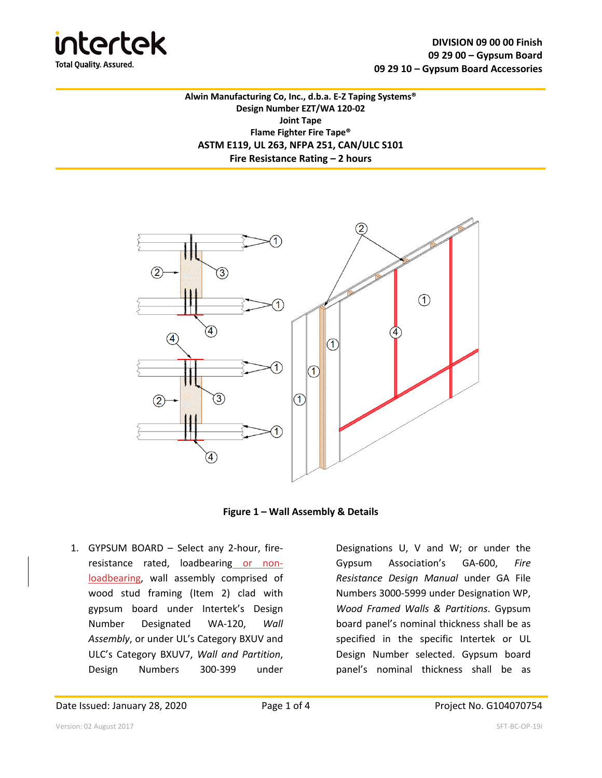

**Alwin Manufacturing Co, Inc., d.b.a. E-Z Taping Systems® Design Number EZT/WA 120-02 Joint Tape Flame Fighter Fire Tape® ASTM E119, UL 263, NFPA 251, CAN/ULC S101 Fire Resistance Rating – 2 hours**



**Figure 1 – Wall Assembly & Details**

1. GYPSUM BOARD – Select any 2-hour, fireresistance rated, loadbearing or nonloadbearing, wall assembly comprised of wood stud framing (Item 2) clad with gypsum board under Intertek's Design Number Designated WA-120, *Wall Assembly*, or under UL's Category BXUV and ULC's Category BXUV7, *Wall and Partition*, Design Numbers 300-399 under

Designations U, V and W; or under the Gypsum Association's GA-600, *Fire Resistance Design Manual* under GA File Numbers 3000-5999 under Designation WP, *Wood Framed Walls & Partitions*. Gypsum board panel's nominal thickness shall be as specified in the specific Intertek or UL Design Number selected. Gypsum board panel's nominal thickness shall be as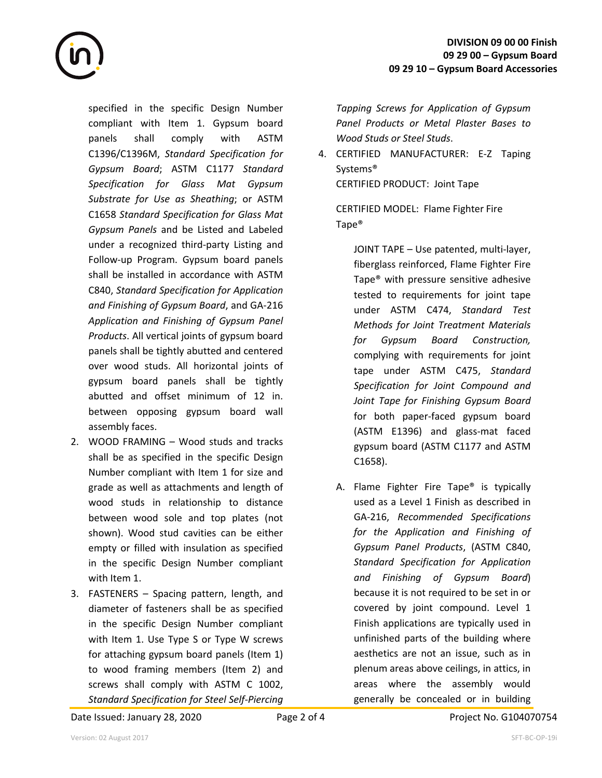

specified in the specific Design Number compliant with Item 1. Gypsum board panels shall comply with ASTM C1396/C1396M, *Standard Specification for Gypsum Board*; ASTM C1177 *Standard Specification for Glass Mat Gypsum Substrate for Use as Sheathing*; or ASTM C1658 *Standard Specification for Glass Mat Gypsum Panels* and be Listed and Labeled under a recognized third-party Listing and Follow-up Program. Gypsum board panels shall be installed in accordance with ASTM C840, *Standard Specification for Application and Finishing of Gypsum Board*, and GA-216 *Application and Finishing of Gypsum Panel Products*. All vertical joints of gypsum board panels shall be tightly abutted and centered over wood studs. All horizontal joints of gypsum board panels shall be tightly abutted and offset minimum of 12 in. between opposing gypsum board wall assembly faces.

- 2. WOOD FRAMING Wood studs and tracks shall be as specified in the specific Design Number compliant with Item 1 for size and grade as well as attachments and length of wood studs in relationship to distance between wood sole and top plates (not shown). Wood stud cavities can be either empty or filled with insulation as specified in the specific Design Number compliant with Item 1.
- 3. FASTENERS Spacing pattern, length, and diameter of fasteners shall be as specified in the specific Design Number compliant with Item 1. Use Type S or Type W screws for attaching gypsum board panels (Item 1) to wood framing members (Item 2) and screws shall comply with ASTM C 1002, *Standard Specification for Steel Self-Piercing*

*Tapping Screws for Application of Gypsum Panel Products or Metal Plaster Bases to Wood Studs or Steel Studs*.

4. CERTIFIED MANUFACTURER: E-Z Taping Systems® CERTIFIED PRODUCT: Joint Tape

CERTIFIED MODEL: Flame Fighter Fire Tape®

JOINT TAPE – Use patented, multi-layer, fiberglass reinforced, Flame Fighter Fire Tape® with pressure sensitive adhesive tested to requirements for joint tape under ASTM C474, *Standard Test Methods for Joint Treatment Materials for Gypsum Board Construction,* complying with requirements for joint tape under ASTM C475, *Standard Specification for Joint Compound and Joint Tape for Finishing Gypsum Board* for both paper-faced gypsum board (ASTM E1396) and glass-mat faced gypsum board (ASTM C1177 and ASTM C1658).

A. Flame Fighter Fire Tape® is typically used as a Level 1 Finish as described in GA-216, *Recommended Specifications for the Application and Finishing of Gypsum Panel Products*, (ASTM C840, *Standard Specification for Application and Finishing of Gypsum Board*) because it is not required to be set in or covered by joint compound. Level 1 Finish applications are typically used in unfinished parts of the building where aesthetics are not an issue, such as in plenum areas above ceilings, in attics, in areas where the assembly would generally be concealed or in building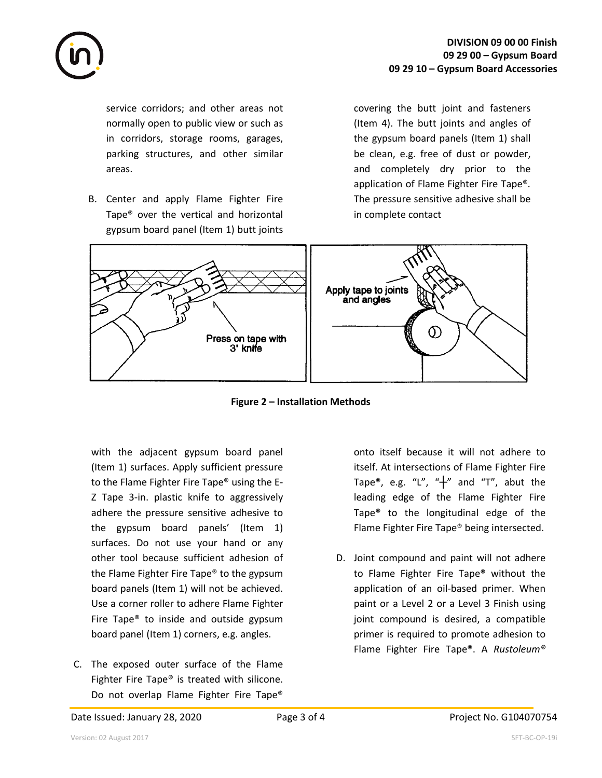

service corridors; and other areas not normally open to public view or such as in corridors, storage rooms, garages, parking structures, and other similar areas.

B. Center and apply Flame Fighter Fire Tape® over the vertical and horizontal gypsum board panel (Item 1) butt joints covering the butt joint and fasteners (Item 4). The butt joints and angles of the gypsum board panels (Item 1) shall be clean, e.g. free of dust or powder, and completely dry prior to the application of Flame Fighter Fire Tape®*.* The pressure sensitive adhesive shall be in complete contact



**Figure 2 – Installation Methods**

with the adjacent gypsum board panel (Item 1) surfaces. Apply sufficient pressure to the Flame Fighter Fire Tape® using the E-Z Tape 3-in. plastic knife to aggressively adhere the pressure sensitive adhesive to the gypsum board panels' (Item 1) surfaces. Do not use your hand or any other tool because sufficient adhesion of the Flame Fighter Fire Tape® to the gypsum board panels (Item 1) will not be achieved. Use a corner roller to adhere Flame Fighter Fire Tape® to inside and outside gypsum board panel (Item 1) corners, e.g. angles.

C. The exposed outer surface of the Flame Fighter Fire Tape® is treated with silicone. Do not overlap Flame Fighter Fire Tape®

onto itself because it will not adhere to itself. At intersections of Flame Fighter Fire Tape®, e.g. "L", " $+$ " and "T", abut the leading edge of the Flame Fighter Fire Tape® to the longitudinal edge of the Flame Fighter Fire Tape® being intersected.

D. Joint compound and paint will not adhere to Flame Fighter Fire Tape® without the application of an oil-based primer. When paint or a Level 2 or a Level 3 Finish using joint compound is desired, a compatible primer is required to promote adhesion to Flame Fighter Fire Tape®. A *Rustoleum®*